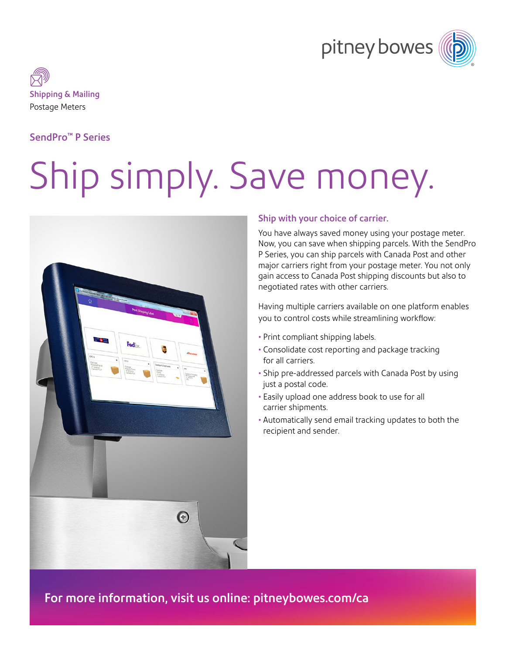



## SendPro™ P Series

# Ship simply. Save money.



#### Ship with your choice of carrier.

You have always saved money using your postage meter. Now, you can save when shipping parcels. With the SendPro P Series, you can ship parcels with Canada Post and other major carriers right from your postage meter. You not only gain access to Canada Post shipping discounts but also to negotiated rates with other carriers.

Having multiple carriers available on one platform enables you to control costs while streamlining workflow:

- Print compliant shipping labels.
- Consolidate cost reporting and package tracking for all carriers.
- Ship pre-addressed parcels with Canada Post by using just a postal code.
- Easily upload one address book to use for all carrier shipments.
- Automatically send email tracking updates to both the recipient and sender.

For more information, visit us online: [pitneybowes.com/](http://pitneybowes.com/ca)ca